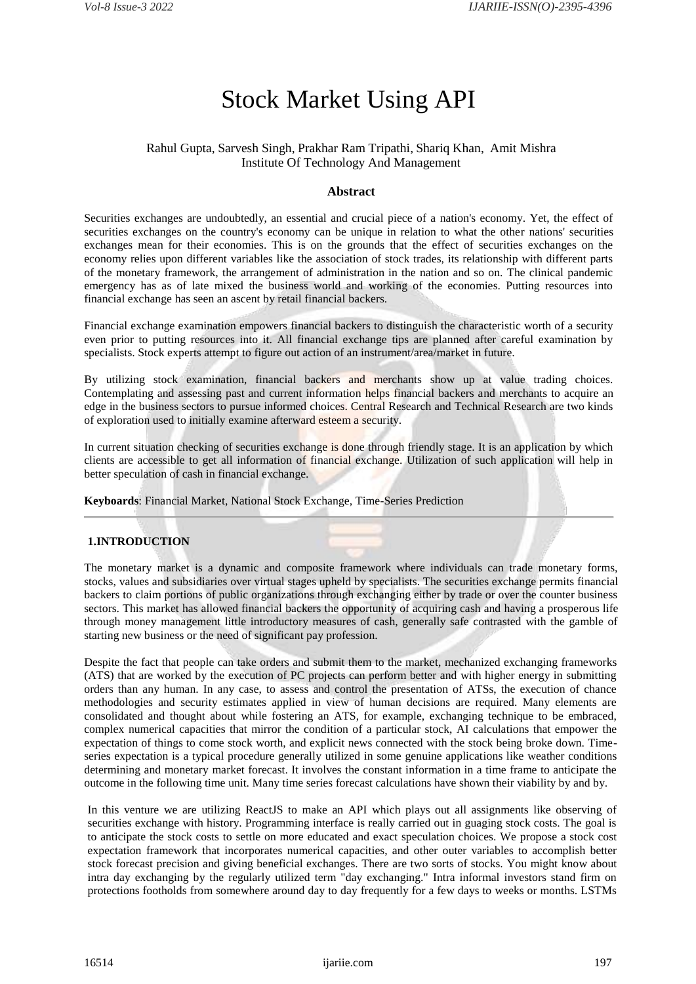# Stock Market Using API

## Rahul Gupta, Sarvesh Singh, Prakhar Ram Tripathi, Shariq Khan, Amit Mishra Institute Of Technology And Management

## **Abstract**

Securities exchanges are undoubtedly, an essential and crucial piece of a nation's economy. Yet, the effect of securities exchanges on the country's economy can be unique in relation to what the other nations' securities exchanges mean for their economies. This is on the grounds that the effect of securities exchanges on the economy relies upon different variables like the association of stock trades, its relationship with different parts of the monetary framework, the arrangement of administration in the nation and so on. The clinical pandemic emergency has as of late mixed the business world and working of the economies. Putting resources into financial exchange has seen an ascent by retail financial backers.

Financial exchange examination empowers financial backers to distinguish the characteristic worth of a security even prior to putting resources into it. All financial exchange tips are planned after careful examination by specialists. Stock experts attempt to figure out action of an instrument/area/market in future.

By utilizing stock examination, financial backers and merchants show up at value trading choices. Contemplating and assessing past and current information helps financial backers and merchants to acquire an edge in the business sectors to pursue informed choices. Central Research and Technical Research are two kinds of exploration used to initially examine afterward esteem a security.

In current situation checking of securities exchange is done through friendly stage. It is an application by which clients are accessible to get all information of financial exchange. Utilization of such application will help in better speculation of cash in financial exchange.

**Keyboards**: Financial Market, National Stock Exchange, Time-Series Prediction

## **1.INTRODUCTION**

The monetary market is a dynamic and composite framework where individuals can trade monetary forms, stocks, values and subsidiaries over virtual stages upheld by specialists. The securities exchange permits financial backers to claim portions of public organizations through exchanging either by trade or over the counter business sectors. This market has allowed financial backers the opportunity of acquiring cash and having a prosperous life through money management little introductory measures of cash, generally safe contrasted with the gamble of starting new business or the need of significant pay profession.

Despite the fact that people can take orders and submit them to the market, mechanized exchanging frameworks (ATS) that are worked by the execution of PC projects can perform better and with higher energy in submitting orders than any human. In any case, to assess and control the presentation of ATSs, the execution of chance methodologies and security estimates applied in view of human decisions are required. Many elements are consolidated and thought about while fostering an ATS, for example, exchanging technique to be embraced, complex numerical capacities that mirror the condition of a particular stock, AI calculations that empower the expectation of things to come stock worth, and explicit news connected with the stock being broke down. Timeseries expectation is a typical procedure generally utilized in some genuine applications like weather conditions determining and monetary market forecast. It involves the constant information in a time frame to anticipate the outcome in the following time unit. Many time series forecast calculations have shown their viability by and by.

In this venture we are utilizing ReactJS to make an API which plays out all assignments like observing of securities exchange with history. Programming interface is really carried out in guaging stock costs. The goal is to anticipate the stock costs to settle on more educated and exact speculation choices. We propose a stock cost expectation framework that incorporates numerical capacities, and other outer variables to accomplish better stock forecast precision and giving beneficial exchanges. There are two sorts of stocks. You might know about intra day exchanging by the regularly utilized term "day exchanging." Intra informal investors stand firm on protections footholds from somewhere around day to day frequently for a few days to weeks or months. LSTMs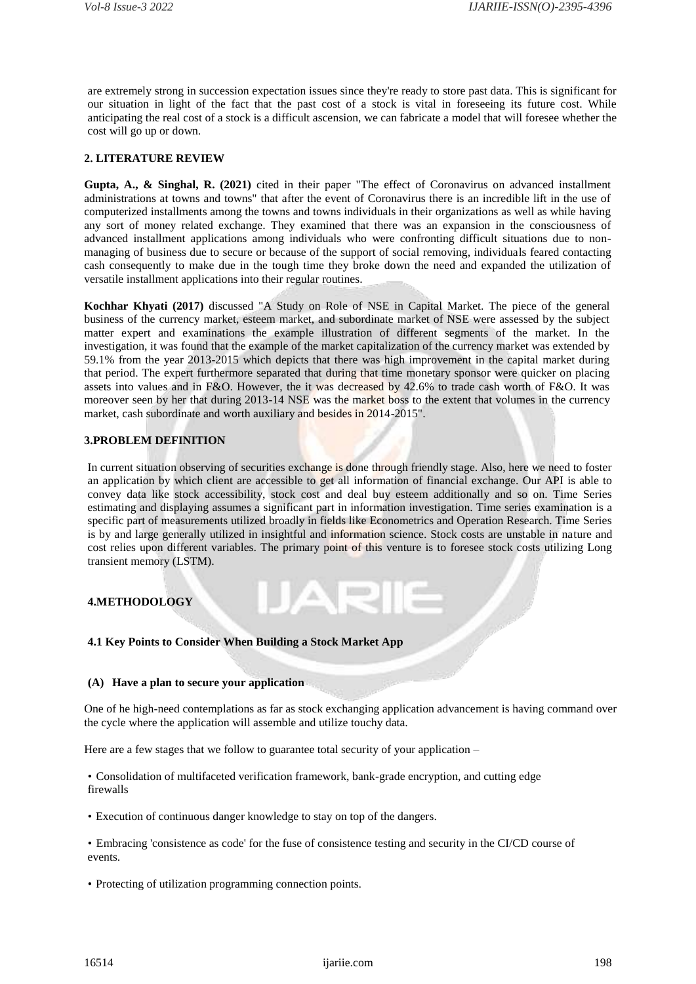are extremely strong in succession expectation issues since they're ready to store past data. This is significant for our situation in light of the fact that the past cost of a stock is vital in foreseeing its future cost. While anticipating the real cost of a stock is a difficult ascension, we can fabricate a model that will foresee whether the cost will go up or down.

## **2. LITERATURE REVIEW**

**Gupta, A., & Singhal, R. (2021)** cited in their paper "The effect of Coronavirus on advanced installment administrations at towns and towns" that after the event of Coronavirus there is an incredible lift in the use of computerized installments among the towns and towns individuals in their organizations as well as while having any sort of money related exchange. They examined that there was an expansion in the consciousness of advanced installment applications among individuals who were confronting difficult situations due to nonmanaging of business due to secure or because of the support of social removing, individuals feared contacting cash consequently to make due in the tough time they broke down the need and expanded the utilization of versatile installment applications into their regular routines.

**Kochhar Khyati (2017)** discussed "A Study on Role of NSE in Capital Market. The piece of the general business of the currency market, esteem market, and subordinate market of NSE were assessed by the subject matter expert and examinations the example illustration of different segments of the market. In the investigation, it was found that the example of the market capitalization of the currency market was extended by 59.1% from the year 2013-2015 which depicts that there was high improvement in the capital market during that period. The expert furthermore separated that during that time monetary sponsor were quicker on placing assets into values and in F&O. However, the it was decreased by 42.6% to trade cash worth of F&O. It was moreover seen by her that during 2013-14 NSE was the market boss to the extent that volumes in the currency market, cash subordinate and worth auxiliary and besides in 2014-2015".

## **3.PROBLEM DEFINITION**

In current situation observing of securities exchange is done through friendly stage. Also, here we need to foster an application by which client are accessible to get all information of financial exchange. Our API is able to convey data like stock accessibility, stock cost and deal buy esteem additionally and so on. Time Series estimating and displaying assumes a significant part in information investigation. Time series examination is a specific part of measurements utilized broadly in fields like Econometrics and Operation Research. Time Series is by and large generally utilized in insightful and information science. Stock costs are unstable in nature and cost relies upon different variables. The primary point of this venture is to foresee stock costs utilizing Long transient memory (LSTM).

## **4.METHODOLOGY**

#### **4.1 Key Points to Consider When Building a Stock Market App**

## **(A) Have a plan to secure your application**

One of he high-need contemplations as far as stock exchanging application advancement is having command over the cycle where the application will assemble and utilize touchy data.

Here are a few stages that we follow to guarantee total security of your application –

• Consolidation of multifaceted verification framework, bank-grade encryption, and cutting edge firewalls

- Execution of continuous danger knowledge to stay on top of the dangers.
- Embracing 'consistence as code' for the fuse of consistence testing and security in the CI/CD course of events.
- Protecting of utilization programming connection points.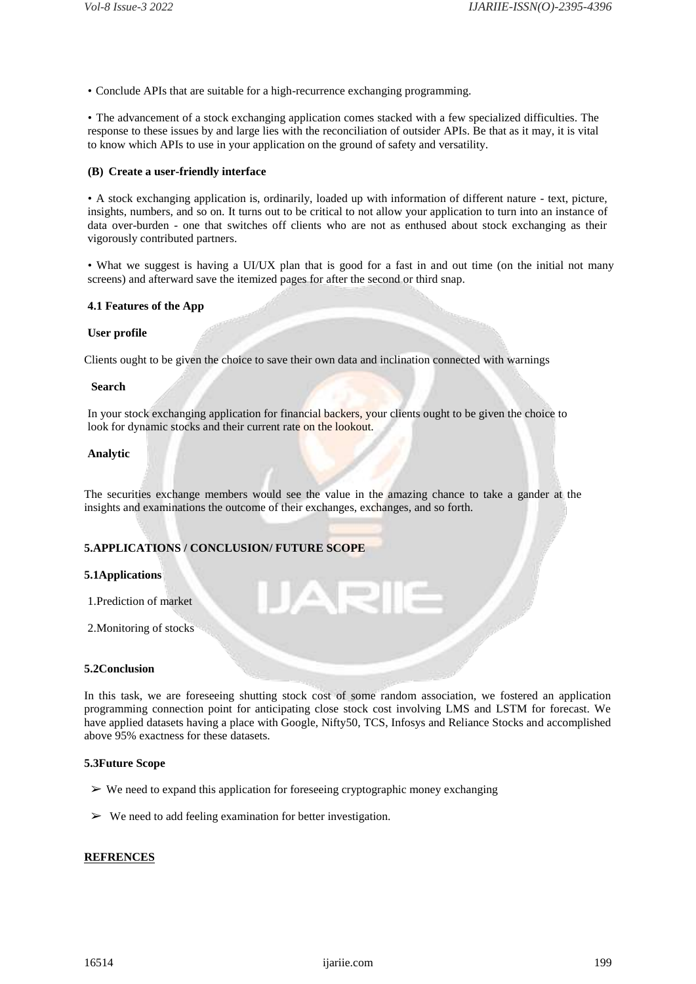• Conclude APIs that are suitable for a high-recurrence exchanging programming.

• The advancement of a stock exchanging application comes stacked with a few specialized difficulties. The response to these issues by and large lies with the reconciliation of outsider APIs. Be that as it may, it is vital to know which APIs to use in your application on the ground of safety and versatility.

## **(B) Create a user-friendly interface**

• A stock exchanging application is, ordinarily, loaded up with information of different nature - text, picture, insights, numbers, and so on. It turns out to be critical to not allow your application to turn into an instance of data over-burden - one that switches off clients who are not as enthused about stock exchanging as their vigorously contributed partners.

• What we suggest is having a UI/UX plan that is good for a fast in and out time (on the initial not many screens) and afterward save the itemized pages for after the second or third snap.

#### **4.1 Features of the App**

#### **User profile**

Clients ought to be given the choice to save their own data and inclination connected with warnings

#### **Search**

In your stock exchanging application for financial backers, your clients ought to be given the choice to look for dynamic stocks and their current rate on the lookout.

#### **Analytic**

The securities exchange members would see the value in the amazing chance to take a gander at the insights and examinations the outcome of their exchanges, exchanges, and so forth.

### **5.APPLICATIONS / CONCLUSION/ FUTURE SCOPE**

#### **5.1Applications**

1.Prediction of market

2.Monitoring of stocks

#### **5.2Conclusion**

In this task, we are foreseeing shutting stock cost of some random association, we fostered an application programming connection point for anticipating close stock cost involving LMS and LSTM for forecast. We have applied datasets having a place with Google, Nifty50, TCS, Infosys and Reliance Stocks and accomplished above 95% exactness for these datasets.

#### **5.3Future Scope**

- $\triangleright$  We need to expand this application for foreseeing cryptographic money exchanging
- $\triangleright$  We need to add feeling examination for better investigation.

#### **REFRENCES**